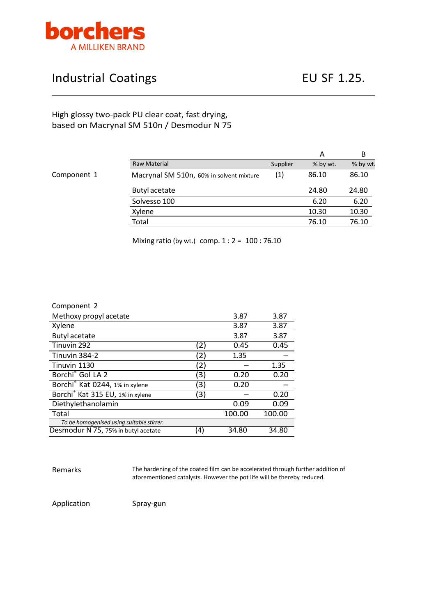

## Industrial Coatings **EU SF 1.25.**

## High glossy two-pack PU clear coat, fast drying, based on Macrynal SM 510n / Desmodur N 75

## Component 1

|                                          |          | А        | В        |
|------------------------------------------|----------|----------|----------|
| Raw Material                             | Supplier | % by wt. | % by wt. |
| Macrynal SM 510n, 60% in solvent mixture | (1)      | 86.10    | 86.10    |
| Butyl acetate                            |          | 24.80    | 24.80    |
| Solvesso 100                             |          | 6.20     | 6.20     |
| Xylene                                   |          | 10.30    | 10.30    |
| Total                                    |          | 76.10    | 76.10    |

Mixing ratio (by wt.) comp. 1 : 2 = 100 : 76.10

| Component 2                                  |     |        |        |
|----------------------------------------------|-----|--------|--------|
| Methoxy propyl acetate                       |     | 3.87   | 3.87   |
| Xylene                                       |     | 3.87   | 3.87   |
| <b>Butyl acetate</b>                         |     | 3.87   | 3.87   |
| Tinuvin 292                                  | (2) | 0.45   | 0.45   |
| Tinuvin 384-2                                | (2) | 1.35   |        |
| Tinuvin 1130                                 | (2) |        | 1.35   |
| Borchi <sup>®</sup> Gol LA 2                 | (3) | 0.20   | 0.20   |
| Borchi <sup>®</sup> Kat 0244, 1% in xylene   | (3) | 0.20   |        |
| Borchi <sup>®</sup> Kat 315 EU, 1% in xylene | (3) |        | 0.20   |
| Diethylethanolamin                           |     | 0.09   | 0.09   |
| Total                                        |     | 100.00 | 100.00 |
| To be homogenised using suitable stirrer.    |     |        |        |
| Desmodur N 75, 75% in butyl acetate          | (4) | 34.80  | 34.80  |

Remarks The hardening of the coated film can be accelerated through further addition of aforementioned catalysts. However the pot life will be thereby reduced.

Application Spray-gun